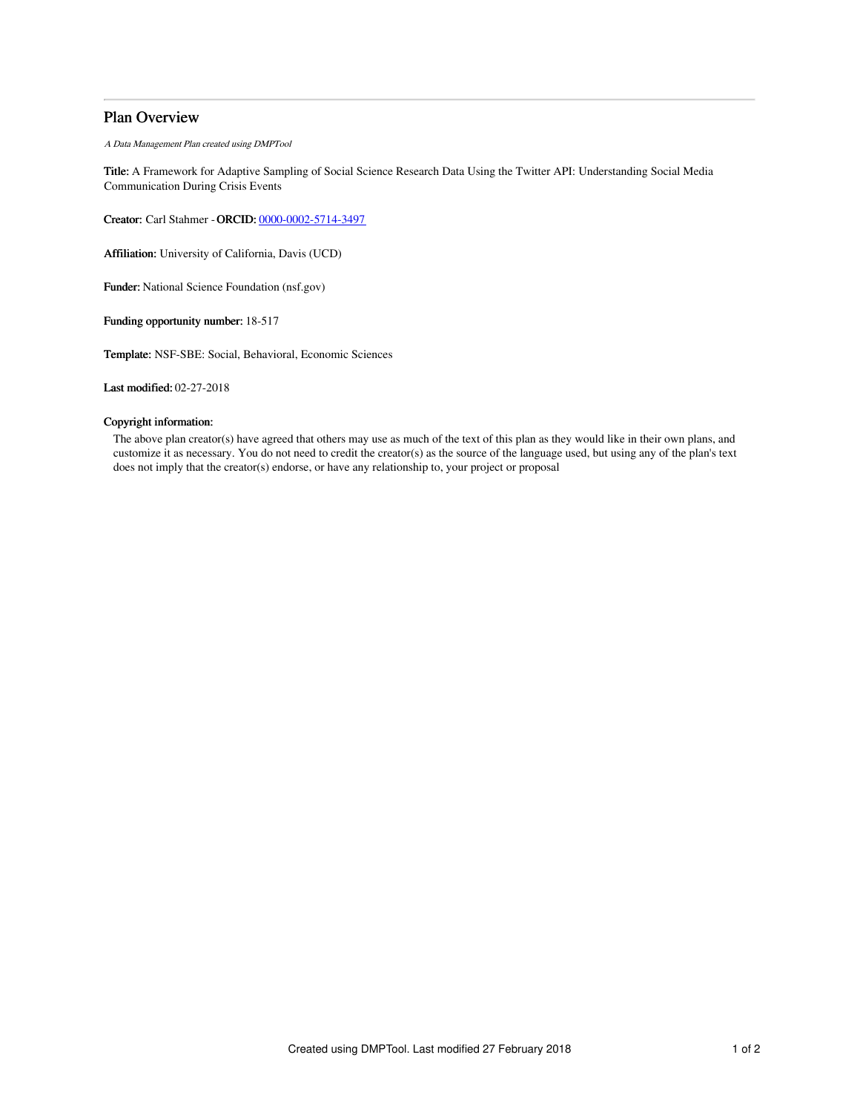# Plan Overview

A Data Management Plan created using DMPTool

Title: A Framework for Adaptive Sampling of Social Science Research Data Using the Twitter API: Understanding Social Media Communication During Crisis Events

Creator: Carl Stahmer -ORCID: [0000-0002-5714-3497](https://orcid.org/0000-0002-5714-3497)

Affiliation: University of California, Davis (UCD)

Funder: National Science Foundation (nsf.gov)

Funding opportunity number: 18-517

Template: NSF-SBE: Social, Behavioral, Economic Sciences

Last modified: 02-27-2018

# Copyright information:

The above plan creator(s) have agreed that others may use as much of the text of this plan as they would like in their own plans, and customize it as necessary. You do not need to credit the creator(s) as the source of the language used, but using any of the plan's text does not imply that the creator(s) endorse, or have any relationship to, your project or proposal